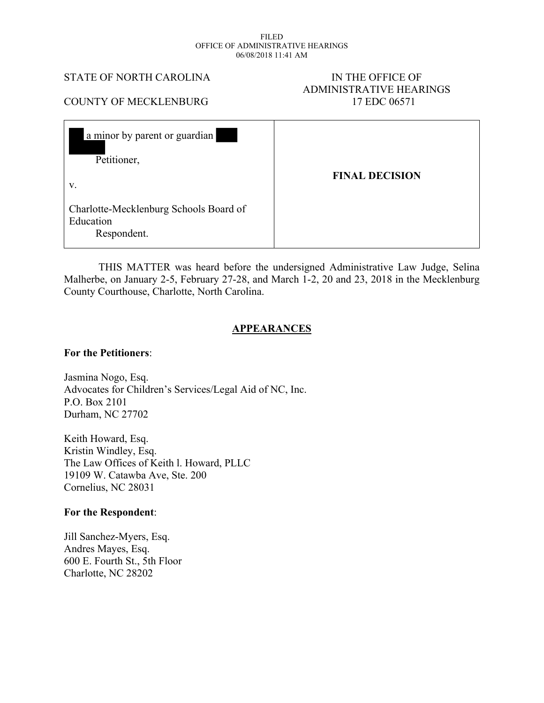#### FILED OFFICE OF ADMINISTRATIVE HEARINGS 06/08/2018 11:41 AM

#### STATE OF NORTH CAROLINA IN THE OFFICE OF

# ADMINISTRATIVE HEARINGS COUNTY OF MECKLENBURG 17 EDC 06571

| a minor by parent or guardian<br>Petitioner,<br>V.  | <b>FINAL DECISION</b> |
|-----------------------------------------------------|-----------------------|
| Charlotte-Mecklenburg Schools Board of<br>Education |                       |

 THIS MATTER was heard before the undersigned Administrative Law Judge, Selina Malherbe, on January 2-5, February 27-28, and March 1-2, 20 and 23, 2018 in the Mecklenburg County Courthouse, Charlotte, North Carolina.

## **APPEARANCES**

#### **For the Petitioners**:

Respondent.

Jasmina Nogo, Esq. Advocates for Children's Services/Legal Aid of NC, Inc. P.O. Box 2101 Durham, NC 27702

Keith Howard, Esq. Kristin Windley, Esq. The Law Offices of Keith l. Howard, PLLC 19109 W. Catawba Ave, Ste. 200 Cornelius, NC 28031

#### **For the Respondent**:

Jill Sanchez-Myers, Esq. Andres Mayes, Esq. 600 E. Fourth St., 5th Floor Charlotte, NC 28202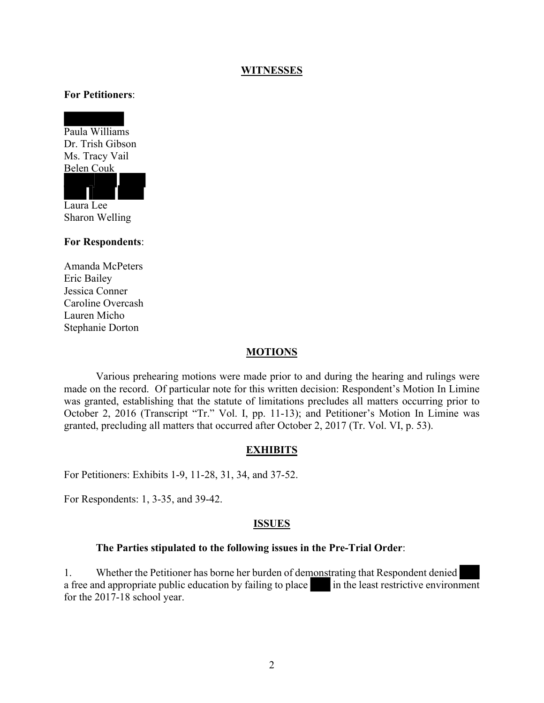#### **WITNESSES**

#### **For Petitioners**:

Paula Williams Dr. Trish Gibson Ms. Tracy Vail Belen Couk



Sharon Welling

#### **For Respondents**:

Amanda McPeters Eric Bailey Jessica Conner Caroline Overcash Lauren Micho Stephanie Dorton

#### **MOTIONS**

Various prehearing motions were made prior to and during the hearing and rulings were made on the record. Of particular note for this written decision: Respondent's Motion In Limine was granted, establishing that the statute of limitations precludes all matters occurring prior to October 2, 2016 (Transcript "Tr." Vol. I, pp. 11-13); and Petitioner's Motion In Limine was granted, precluding all matters that occurred after October 2, 2017 (Tr. Vol. VI, p. 53).

#### **EXHIBITS**

For Petitioners: Exhibits 1-9, 11-28, 31, 34, and 37-52.

For Respondents: 1, 3-35, and 39-42.

#### **ISSUES**

#### **The Parties stipulated to the following issues in the Pre-Trial Order**:

1. Whether the Petitioner has borne her burden of demonstrating that Respondent denied a free and appropriate public education by failing to place in the least restrictive environment for the 2017-18 school year.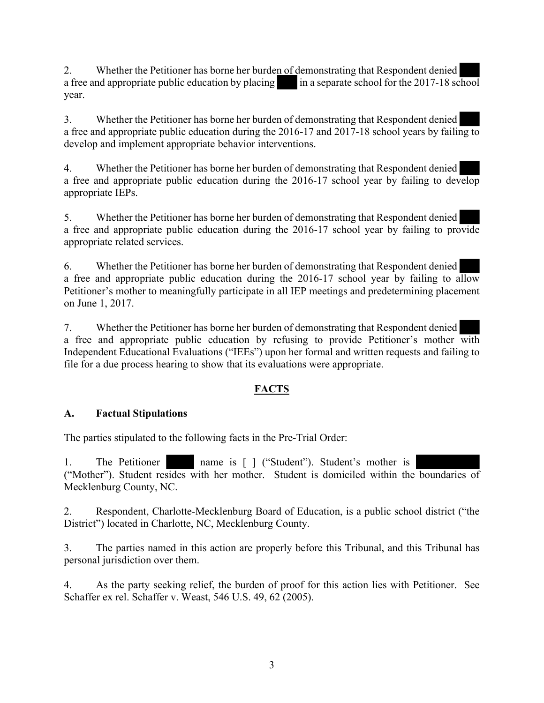2. Whether the Petitioner has borne her burden of demonstrating that Respondent denied a free and appropriate public education by placing in a separate school for the  $2017-18$  school year.

3. Whether the Petitioner has borne her burden of demonstrating that Respondent denied a free and appropriate public education during the 2016-17 and 2017-18 school years by failing to develop and implement appropriate behavior interventions.

4. Whether the Petitioner has borne her burden of demonstrating that Respondent denied a free and appropriate public education during the 2016-17 school year by failing to develop appropriate IEPs.

5. Whether the Petitioner has borne her burden of demonstrating that Respondent denied a free and appropriate public education during the 2016-17 school year by failing to provide appropriate related services.

6. Whether the Petitioner has borne her burden of demonstrating that Respondent denied a free and appropriate public education during the 2016-17 school year by failing to allow Petitioner's mother to meaningfully participate in all IEP meetings and predetermining placement on June 1, 2017.

7. Whether the Petitioner has borne her burden of demonstrating that Respondent denied a free and appropriate public education by refusing to provide Petitioner's mother with Independent Educational Evaluations ("IEEs") upon her formal and written requests and failing to file for a due process hearing to show that its evaluations were appropriate.

# **FACTS**

# **A. Factual Stipulations**

The parties stipulated to the following facts in the Pre-Trial Order:

1. The Petitioner name is [ ] ("Student"). Student's mother is ("Mother"). Student resides with her mother. Student is domiciled within the boundaries of Mecklenburg County, NC.

2. Respondent, Charlotte-Mecklenburg Board of Education, is a public school district ("the District") located in Charlotte, NC, Mecklenburg County.

3. The parties named in this action are properly before this Tribunal, and this Tribunal has personal jurisdiction over them.

4. As the party seeking relief, the burden of proof for this action lies with Petitioner. See Schaffer ex rel. Schaffer v. Weast, 546 U.S. 49, 62 (2005).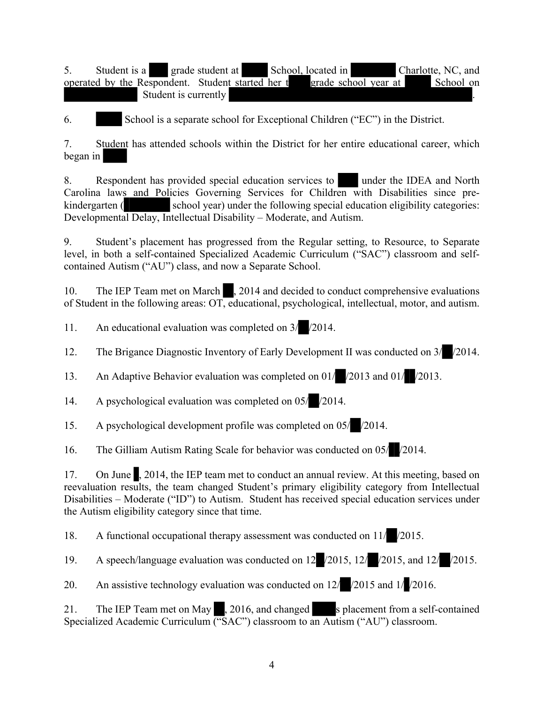5. Student is a grade student at School, located in Charlotte, NC, and operated by the Respondent. Student started her t grade school year at School on Student is currently .

6. School is a separate school for Exceptional Children ("EC") in the District.

7. Student has attended schools within the District for her entire educational career, which began in

8. Respondent has provided special education services to under the IDEA and North Carolina laws and Policies Governing Services for Children with Disabilities since prekindergarten ( school year) under the following special education eligibility categories: Developmental Delay, Intellectual Disability – Moderate, and Autism.

9. Student's placement has progressed from the Regular setting, to Resource, to Separate level, in both a self-contained Specialized Academic Curriculum ("SAC") classroom and selfcontained Autism ("AU") class, and now a Separate School.

10. The IEP Team met on March , 2014 and decided to conduct comprehensive evaluations of Student in the following areas: OT, educational, psychological, intellectual, motor, and autism.

11. An educational evaluation was completed on 3/ /2014.

12. The Brigance Diagnostic Inventory of Early Development II was conducted on  $3/$  /2014.

13. An Adaptive Behavior evaluation was completed on 01/ /2013 and 01/ /2013.

14. A psychological evaluation was completed on 05/ /2014.

15. A psychological development profile was completed on 05/ /2014.

16. The Gilliam Autism Rating Scale for behavior was conducted on 05/ /2014.

17. On June , 2014, the IEP team met to conduct an annual review. At this meeting, based on reevaluation results, the team changed Student's primary eligibility category from Intellectual Disabilities – Moderate ("ID") to Autism. Student has received special education services under the Autism eligibility category since that time.

18. A functional occupational therapy assessment was conducted on 11/ /2015.

19. A speech/language evaluation was conducted on 12 /2015, 12/ /2015, and 12/ /2015.

20. An assistive technology evaluation was conducted on 12/ /2015 and 1/ /2016.

21. The IEP Team met on May , 2016, and changed s placement from a self-contained Specialized Academic Curriculum ("SAC") classroom to an Autism ("AU") classroom.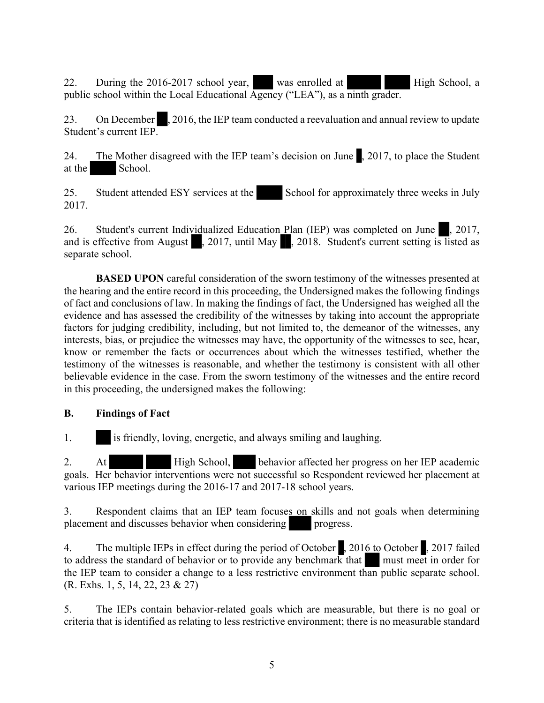22. During the 2016-2017 school year, was enrolled at High School, a public school within the Local Educational Agency ("LEA"), as a ninth grader.

23. On December , 2016, the IEP team conducted a reevaluation and annual review to update Student's current IEP.

24. The Mother disagreed with the IEP team's decision on June , 2017, to place the Student at the School.

25. Student attended ESY services at the School for approximately three weeks in July 2017.

26. Student's current Individualized Education Plan (IEP) was completed on June  $\frac{1}{2}$ , 2017, and is effective from August , 2017, until May , 2018. Student's current setting is listed as separate school.

**BASED UPON** careful consideration of the sworn testimony of the witnesses presented at the hearing and the entire record in this proceeding, the Undersigned makes the following findings of fact and conclusions of law. In making the findings of fact, the Undersigned has weighed all the evidence and has assessed the credibility of the witnesses by taking into account the appropriate factors for judging credibility, including, but not limited to, the demeanor of the witnesses, any interests, bias, or prejudice the witnesses may have, the opportunity of the witnesses to see, hear, know or remember the facts or occurrences about which the witnesses testified, whether the testimony of the witnesses is reasonable, and whether the testimony is consistent with all other believable evidence in the case. From the sworn testimony of the witnesses and the entire record in this proceeding, the undersigned makes the following:

# **B. Findings of Fact**

1. is friendly, loving, energetic, and always smiling and laughing.

2. At High School, behavior affected her progress on her IEP academic goals. Her behavior interventions were not successful so Respondent reviewed her placement at various IEP meetings during the 2016-17 and 2017-18 school years.

3. Respondent claims that an IEP team focuses on skills and not goals when determining placement and discusses behavior when considering progress.

4. The multiple IEPs in effect during the period of October , 2016 to October , 2017 failed to address the standard of behavior or to provide any benchmark that must meet in order for the IEP team to consider a change to a less restrictive environment than public separate school. (R. Exhs. 1, 5, 14, 22, 23 & 27)

5. The IEPs contain behavior-related goals which are measurable, but there is no goal or criteria that is identified as relating to less restrictive environment; there is no measurable standard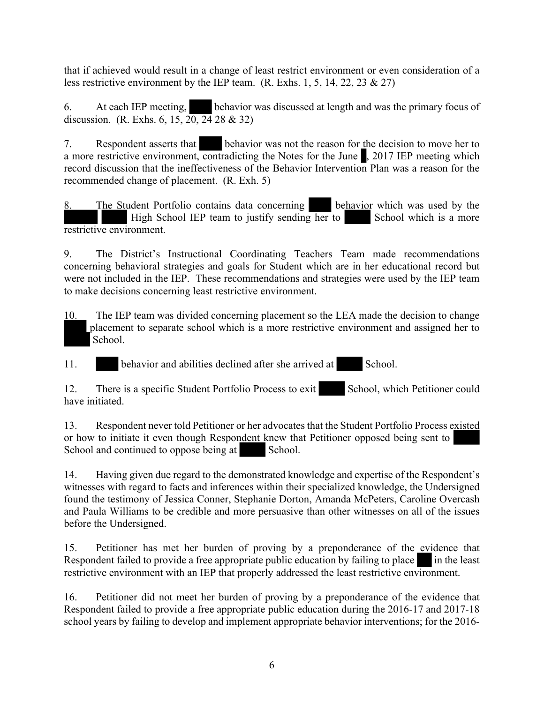that if achieved would result in a change of least restrict environment or even consideration of a less restrictive environment by the IEP team. (R. Exhs. 1, 5, 14, 22, 23  $\&$  27)

6. At each IEP meeting, behavior was discussed at length and was the primary focus of discussion. (R. Exhs. 6, 15,  $20$ ,  $24$  28 & 32)

7. Respondent asserts that behavior was not the reason for the decision to move her to a more restrictive environment, contradicting the Notes for the June , 2017 IEP meeting which record discussion that the ineffectiveness of the Behavior Intervention Plan was a reason for the recommended change of placement. (R. Exh. 5)

8. The Student Portfolio contains data concerning behavior which was used by the High School IEP team to justify sending her to School which is a more restrictive environment.

9. The District's Instructional Coordinating Teachers Team made recommendations concerning behavioral strategies and goals for Student which are in her educational record but were not included in the IEP. These recommendations and strategies were used by the IEP team to make decisions concerning least restrictive environment.

10. The IEP team was divided concerning placement so the LEA made the decision to change placement to separate school which is a more restrictive environment and assigned her to School.

11. behavior and abilities declined after she arrived at School.

12. There is a specific Student Portfolio Process to exit School, which Petitioner could have initiated.

13. Respondent never told Petitioner or her advocates that the Student Portfolio Process existed or how to initiate it even though Respondent knew that Petitioner opposed being sent to School and continued to oppose being at School.

14. Having given due regard to the demonstrated knowledge and expertise of the Respondent's witnesses with regard to facts and inferences within their specialized knowledge, the Undersigned found the testimony of Jessica Conner, Stephanie Dorton, Amanda McPeters, Caroline Overcash and Paula Williams to be credible and more persuasive than other witnesses on all of the issues before the Undersigned.

15. Petitioner has met her burden of proving by a preponderance of the evidence that Respondent failed to provide a free appropriate public education by failing to place in the least restrictive environment with an IEP that properly addressed the least restrictive environment.

16. Petitioner did not meet her burden of proving by a preponderance of the evidence that Respondent failed to provide a free appropriate public education during the 2016-17 and 2017-18 school years by failing to develop and implement appropriate behavior interventions; for the 2016-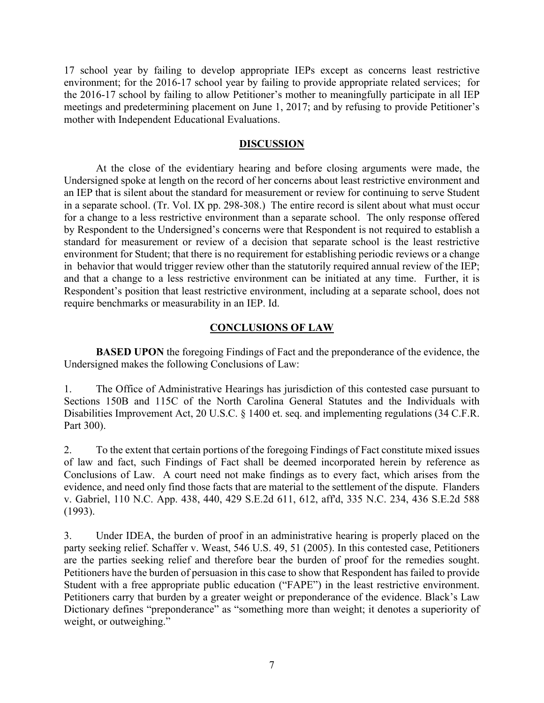17 school year by failing to develop appropriate IEPs except as concerns least restrictive environment; for the 2016-17 school year by failing to provide appropriate related services; for the 2016-17 school by failing to allow Petitioner's mother to meaningfully participate in all IEP meetings and predetermining placement on June 1, 2017; and by refusing to provide Petitioner's mother with Independent Educational Evaluations.

### **DISCUSSION**

At the close of the evidentiary hearing and before closing arguments were made, the Undersigned spoke at length on the record of her concerns about least restrictive environment and an IEP that is silent about the standard for measurement or review for continuing to serve Student in a separate school. (Tr. Vol. IX pp. 298-308.) The entire record is silent about what must occur for a change to a less restrictive environment than a separate school. The only response offered by Respondent to the Undersigned's concerns were that Respondent is not required to establish a standard for measurement or review of a decision that separate school is the least restrictive environment for Student; that there is no requirement for establishing periodic reviews or a change in behavior that would trigger review other than the statutorily required annual review of the IEP; and that a change to a less restrictive environment can be initiated at any time. Further, it is Respondent's position that least restrictive environment, including at a separate school, does not require benchmarks or measurability in an IEP. Id.

## **CONCLUSIONS OF LAW**

**BASED UPON** the foregoing Findings of Fact and the preponderance of the evidence, the Undersigned makes the following Conclusions of Law:

1. The Office of Administrative Hearings has jurisdiction of this contested case pursuant to Sections 150B and 115C of the North Carolina General Statutes and the Individuals with Disabilities Improvement Act, 20 U.S.C. § 1400 et. seq. and implementing regulations (34 C.F.R. Part 300).

2. To the extent that certain portions of the foregoing Findings of Fact constitute mixed issues of law and fact, such Findings of Fact shall be deemed incorporated herein by reference as Conclusions of Law. A court need not make findings as to every fact, which arises from the evidence, and need only find those facts that are material to the settlement of the dispute. Flanders v. Gabriel, 110 N.C. App. 438, 440, 429 S.E.2d 611, 612, aff'd, 335 N.C. 234, 436 S.E.2d 588 (1993).

3. Under IDEA, the burden of proof in an administrative hearing is properly placed on the party seeking relief. Schaffer v. Weast, 546 U.S. 49, 51 (2005). In this contested case, Petitioners are the parties seeking relief and therefore bear the burden of proof for the remedies sought. Petitioners have the burden of persuasion in this case to show that Respondent has failed to provide Student with a free appropriate public education ("FAPE") in the least restrictive environment. Petitioners carry that burden by a greater weight or preponderance of the evidence. Black's Law Dictionary defines "preponderance" as "something more than weight; it denotes a superiority of weight, or outweighing."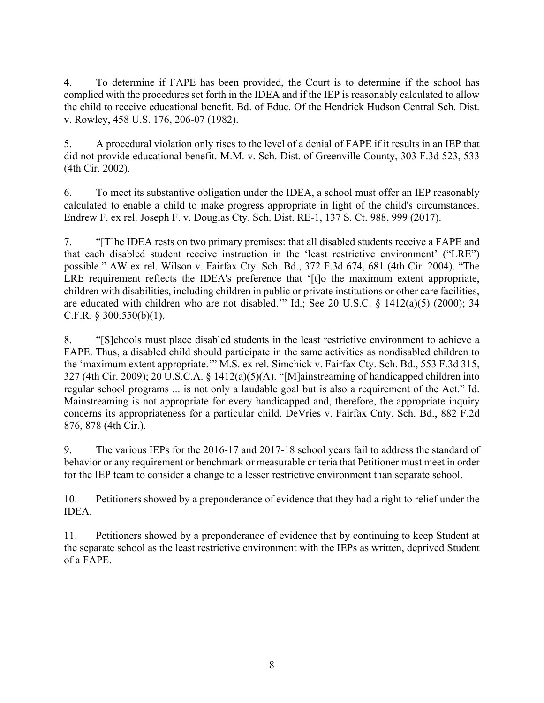4. To determine if FAPE has been provided, the Court is to determine if the school has complied with the procedures set forth in the IDEA and if the IEP is reasonably calculated to allow the child to receive educational benefit. Bd. of Educ. Of the Hendrick Hudson Central Sch. Dist. v. Rowley, 458 U.S. 176, 206-07 (1982).

5. A procedural violation only rises to the level of a denial of FAPE if it results in an IEP that did not provide educational benefit. M.M. v. Sch. Dist. of Greenville County, 303 F.3d 523, 533 (4th Cir. 2002).

6. To meet its substantive obligation under the IDEA, a school must offer an IEP reasonably calculated to enable a child to make progress appropriate in light of the child's circumstances. Endrew F. ex rel. Joseph F. v. Douglas Cty. Sch. Dist. RE-1, 137 S. Ct. 988, 999 (2017).

7. "[T]he IDEA rests on two primary premises: that all disabled students receive a FAPE and that each disabled student receive instruction in the 'least restrictive environment' ("LRE") possible." AW ex rel. Wilson v. Fairfax Cty. Sch. Bd., 372 F.3d 674, 681 (4th Cir. 2004). "The LRE requirement reflects the IDEA's preference that '[t]o the maximum extent appropriate, children with disabilities, including children in public or private institutions or other care facilities, are educated with children who are not disabled.'" Id.; See 20 U.S.C. § 1412(a)(5) (2000); 34 C.F.R. § 300.550(b)(1).

8. "[S]chools must place disabled students in the least restrictive environment to achieve a FAPE. Thus, a disabled child should participate in the same activities as nondisabled children to the 'maximum extent appropriate.'" M.S. ex rel. Simchick v. Fairfax Cty. Sch. Bd., 553 F.3d 315, 327 (4th Cir. 2009); 20 U.S.C.A. § 1412(a)(5)(A). "[M]ainstreaming of handicapped children into regular school programs ... is not only a laudable goal but is also a requirement of the Act." Id. Mainstreaming is not appropriate for every handicapped and, therefore, the appropriate inquiry concerns its appropriateness for a particular child. DeVries v. Fairfax Cnty. Sch. Bd., 882 F.2d 876, 878 (4th Cir.).

9. The various IEPs for the 2016-17 and 2017-18 school years fail to address the standard of behavior or any requirement or benchmark or measurable criteria that Petitioner must meet in order for the IEP team to consider a change to a lesser restrictive environment than separate school.

10. Petitioners showed by a preponderance of evidence that they had a right to relief under the IDEA.

11. Petitioners showed by a preponderance of evidence that by continuing to keep Student at the separate school as the least restrictive environment with the IEPs as written, deprived Student of a FAPE.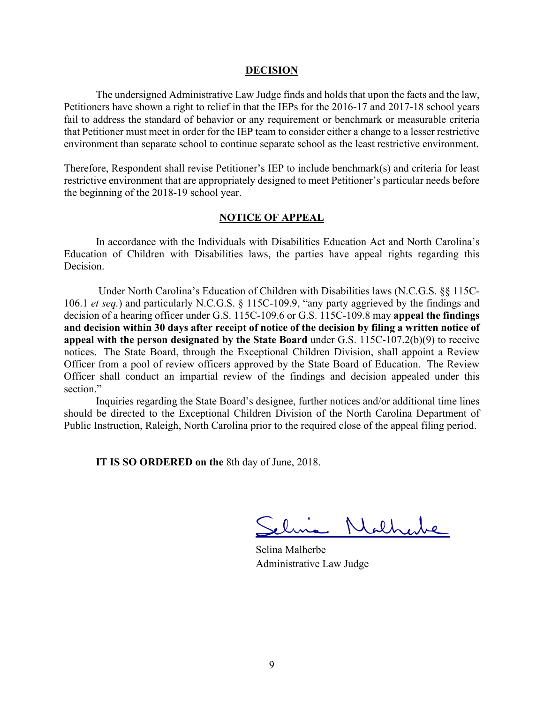#### **DECISION**

The undersigned Administrative Law Judge finds and holds that upon the facts and the law, Petitioners have shown a right to relief in that the IEPs for the 2016-17 and 2017-18 school years fail to address the standard of behavior or any requirement or benchmark or measurable criteria that Petitioner must meet in order for the IEP team to consider either a change to a lesser restrictive environment than separate school to continue separate school as the least restrictive environment.

Therefore, Respondent shall revise Petitioner's IEP to include benchmark(s) and criteria for least restrictive environment that are appropriately designed to meet Petitioner's particular needs before the beginning of the 2018-19 school year.

#### **NOTICE OF APPEAL**

In accordance with the Individuals with Disabilities Education Act and North Carolina's Education of Children with Disabilities laws, the parties have appeal rights regarding this Decision.

Under North Carolina's Education of Children with Disabilities laws (N.C.G.S. §§ 115C-106.1 *et seq.*) and particularly N.C.G.S. § 115C-109.9, "any party aggrieved by the findings and decision of a hearing officer under G.S. 115C-109.6 or G.S. 115C-109.8 may **appeal the findings and decision within 30 days after receipt of notice of the decision by filing a written notice of appeal with the person designated by the State Board** under G.S. 115C-107.2(b)(9) to receive notices. The State Board, through the Exceptional Children Division, shall appoint a Review Officer from a pool of review officers approved by the State Board of Education. The Review Officer shall conduct an impartial review of the findings and decision appealed under this section."

Inquiries regarding the State Board's designee, further notices and/or additional time lines should be directed to the Exceptional Children Division of the North Carolina Department of Public Instruction, Raleigh, North Carolina prior to the required close of the appeal filing period.

**IT IS SO ORDERED on the** 8th day of June, 2018.

Nathene

Selina Malherbe Administrative Law Judge